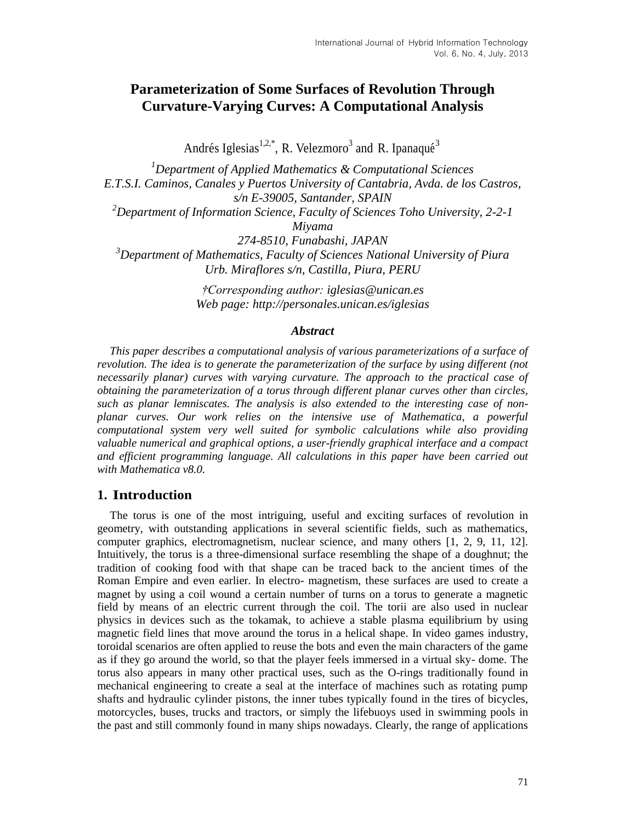## **Parameterization of Some Surfaces of Revolution Through Curvature-Varying Curves: A Computational Analysis**

Andrés Iglesias<sup>1,2,\*</sup>, R. Velezmoro<sup>3</sup> and R. Ipanaqué<sup>3</sup>

*<sup>1</sup>Department of Applied Mathematics & Computational Sciences E.T.S.I. Caminos, Canales y Puertos University of Cantabria, Avda. de los Castros, s/n E-39005, Santander, SPAIN <sup>2</sup>Department of Information Science, Faculty of Sciences Toho University, 2-2-1 Miyama 274-8510, Funabashi, JAPAN <sup>3</sup>Department of Mathematics, Faculty of Sciences National University of Piura Urb. Miraflores s/n, Castilla, Piura, PERU*

> *†Corresponding author: [iglesias@unican.es](mailto:iglesias@unican.es) Web page:<http://personales.unican.es/iglesias>*

#### *Abstract*

*This paper describes a computational analysis of various parameterizations of a surface of revolution. The idea is to generate the parameterization of the surface by using different (not necessarily planar) curves with varying curvature. The approach to the practical case of obtaining the parameterization of a torus through different planar curves other than circles, such as planar lemniscates. The analysis is also extended to the interesting case of nonplanar curves. Our work relies on the intensive use of Mathematica, a powerful computational system very well suited for symbolic calculations while also providing valuable numerical and graphical options, a user-friendly graphical interface and a compact and efficient programming language. All calculations in this paper have been carried out with Mathematica v8.0.*

#### **1. Introduction**

The torus is one of the most intriguing, useful and exciting surfaces of revolution in geometry, with outstanding applications in several scientific fields, such as mathematics, computer graphics, electromagnetism, nuclear science, and many others [1, 2, 9, 11, 12]. Intuitively, the torus is a three-dimensional surface resembling the shape of a doughnut; the tradition of cooking food with that shape can be traced back to the ancient times of the Roman Empire and even earlier. In electro- magnetism, these surfaces are used to create a magnet by using a coil wound a certain number of turns on a torus to generate a magnetic field by means of an electric current through the coil. The torii are also used in nuclear physics in devices such as the tokamak, to achieve a stable plasma equilibrium by using magnetic field lines that move around the torus in a helical shape. In video games industry, toroidal scenarios are often applied to reuse the bots and even the main characters of the game as if they go around the world, so that the player feels immersed in a virtual sky- dome. The torus also appears in many other practical uses, such as the O-rings traditionally found in mechanical engineering to create a seal at the interface of machines such as rotating pump shafts and hydraulic cylinder pistons, the inner tubes typically found in the tires of bicycles, motorcycles, buses, trucks and tractors, or simply the lifebuoys used in swimming pools in the past and still commonly found in many ships nowadays. Clearly, the range of applications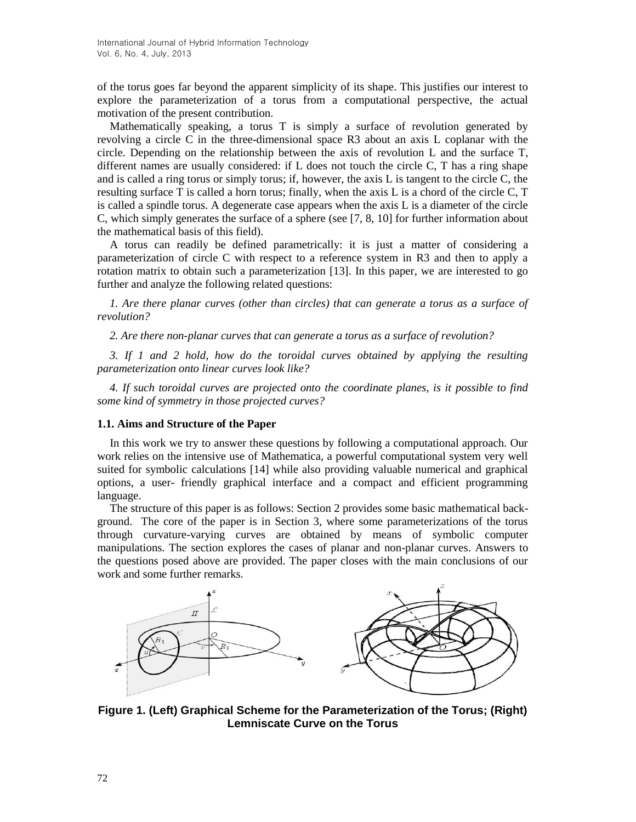of the torus goes far beyond the apparent simplicity of its shape. This justifies our interest to explore the parameterization of a torus from a computational perspective, the actual motivation of the present contribution.

Mathematically speaking, a torus T is simply a surface of revolution generated by revolving a circle C in the three-dimensional space R3 about an axis L coplanar with the circle. Depending on the relationship between the axis of revolution L and the surface T, different names are usually considered: if L does not touch the circle C, T has a ring shape and is called a ring torus or simply torus; if, however, the axis L is tangent to the circle C, the resulting surface T is called a horn torus; finally, when the axis L is a chord of the circle C, T is called a spindle torus. A degenerate case appears when the axis L is a diameter of the circle C, which simply generates the surface of a sphere (see [7, 8, 10] for further information about the mathematical basis of this field).

A torus can readily be defined parametrically: it is just a matter of considering a parameterization of circle C with respect to a reference system in R3 and then to apply a rotation matrix to obtain such a parameterization [13]. In this paper, we are interested to go further and analyze the following related questions:

*1. Are there planar curves (other than circles) that can generate a torus as a surface of revolution?*

*2. Are there non-planar curves that can generate a torus as a surface of revolution?*

*3. If 1 and 2 hold, how do the toroidal curves obtained by applying the resulting parameterization onto linear curves look like?*

*4. If such toroidal curves are projected onto the coordinate planes, is it possible to find some kind of symmetry in those projected curves?*

#### **1.1. Aims and Structure of the Paper**

In this work we try to answer these questions by following a computational approach. Our work relies on the intensive use of Mathematica, a powerful computational system very well suited for symbolic calculations [14] while also providing valuable numerical and graphical options, a user- friendly graphical interface and a compact and efficient programming language.

The structure of this paper is as follows: Section 2 provides some basic mathematical background. The core of the paper is in Section 3, where some parameterizations of the torus through curvature-varying curves are obtained by means of symbolic computer manipulations. The section explores the cases of planar and non-planar curves. Answers to the questions posed above are provided. The paper closes with the main conclusions of our work and some further remarks.



**Figure 1. (Left) Graphical Scheme for the Parameterization of the Torus; (Right) Lemniscate Curve on the Torus**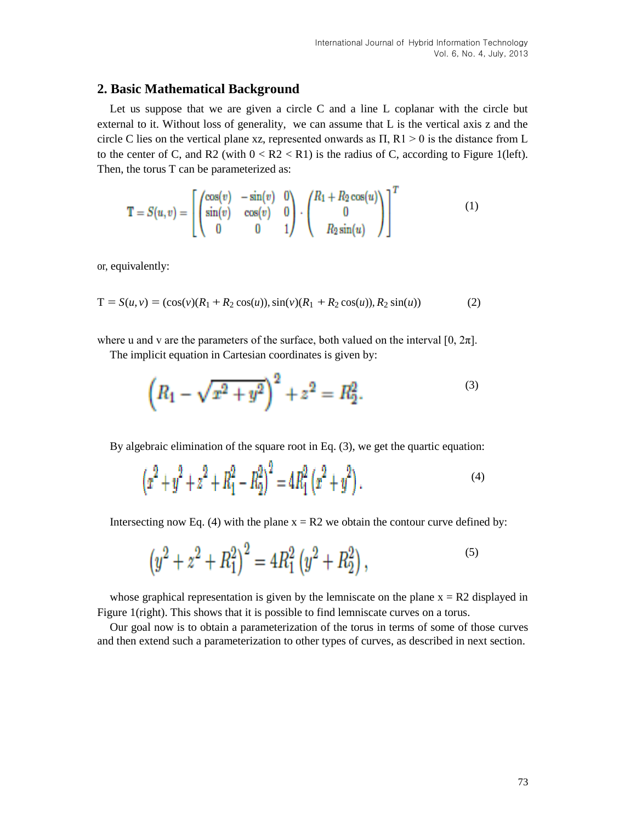#### **2. Basic Mathematical Background**

Let us suppose that we are given a circle C and a line L coplanar with the circle but external to it. Without loss of generality, we can assume that L is the vertical axis z and the circle C lies on the vertical plane xz, represented onwards as  $\Pi$ ,  $R1 > 0$  is the distance from L to the center of C, and R2 (with  $0 < R2 < R1$ ) is the radius of C, according to Figure 1(left). Then, the torus T can be parameterized as:

$$
\mathbf{T} = S(u, v) = \begin{bmatrix} \begin{pmatrix} \cos(v) & -\sin(v) & 0 \\ \sin(v) & \cos(v) & 0 \\ 0 & 0 & 1 \end{pmatrix} \cdot \begin{pmatrix} R_1 + R_2 \cos(u) \\ 0 \\ R_2 \sin(u) \end{pmatrix} \end{bmatrix}^T
$$
(1)

or, equivalently:

$$
T = S(u, v) = (\cos(v)(R_1 + R_2 \cos(u)), \sin(v)(R_1 + R_2 \cos(u)), R_2 \sin(u))
$$
 (2)

where u and v are the parameters of the surface, both valued on the interval  $[0, 2\pi]$ .

The implicit equation in Cartesian coordinates is given by:

$$
\left(R_1 - \sqrt{x^2 + y^2}\right)^2 + z^2 = R_2^2.
$$

By algebraic elimination of the square root in Eq. (3), we get the quartic equation:

 $\bar{a}$ 

$$
\left(x^2 + y^2 + z^2 + R_1^2 - R_2^2\right)^2 = 4R_1^2\left(x^2 + y^2\right).
$$
\n(4)

Intersecting now Eq. (4) with the plane  $x = R2$  we obtain the contour curve defined by:

$$
\left(y^2 + z^2 + R_1^2\right)^2 = 4R_1^2\left(y^2 + R_2^2\right),\tag{5}
$$

whose graphical representation is given by the lemniscate on the plane  $x = R2$  displayed in Figure 1(right). This shows that it is possible to find lemniscate curves on a torus.

Our goal now is to obtain a parameterization of the torus in terms of some of those curves and then extend such a parameterization to other types of curves, as described in next section.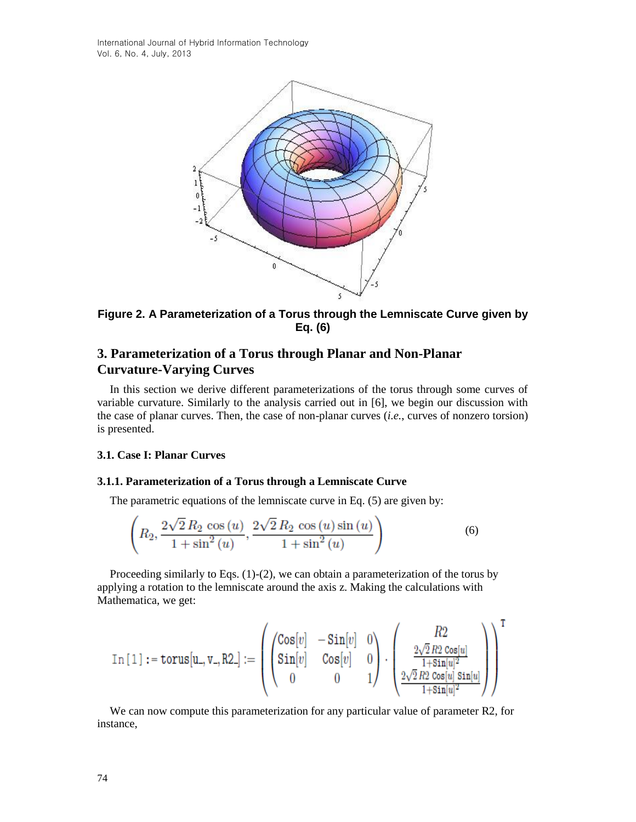

**Figure 2. A Parameterization of a Torus through the Lemniscate Curve given by Eq. (6)**

### **3. Parameterization of a Torus through Planar and Non-Planar Curvature-Varying Curves**

In this section we derive different parameterizations of the torus through some curves of variable curvature. Similarly to the analysis carried out in [6], we begin our discussion with the case of planar curves. Then, the case of non-planar curves (*i.e.*, curves of nonzero torsion) is presented.

#### **3.1. Case I: Planar Curves**

#### **3.1.1. Parameterization of a Torus through a Lemniscate Curve**

The parametric equations of the lemniscate curve in Eq. (5) are given by:

$$
\left(R_2, \frac{2\sqrt{2}R_2\cos(u)}{1+\sin^2(u)}, \frac{2\sqrt{2}R_2\cos(u)\sin(u)}{1+\sin^2(u)}\right) \tag{6}
$$

Proceeding similarly to Eqs. (1)-(2), we can obtain a parameterization of the torus by applying a rotation to the lemniscate around the axis z. Making the calculations with Mathematica, we get:

$$
\text{In}\left[\left.1\right] \right.:=\text{torus}\left[\textbf{u}_{-},\textbf{v}_{-},\text{R2}_{-}\right]:=\left(\begin{pmatrix}\text{Cos}\left[v\right] & -\text{Sin}\left[v\right] & 0 \\ \text{Sin}\left[v\right] & \text{Cos}\left[v\right] & 0 \\ 0 & 0 & 1\end{pmatrix} \cdot \begin{pmatrix}\text{R2} \\ \frac{2\sqrt{2}\,\text{R2}\,\text{Cos}\left[u\right]}{1+\text{Sin}\left[u\right]^{2}} \\ \frac{2\sqrt{2}\,\text{R2}\,\text{Cos}\left[u\right]}{1+\text{Sin}\left[u\right]^{2}}\end{pmatrix}\right)^{\text{I}}
$$

We can now compute this parameterization for any particular value of parameter R2, for instance,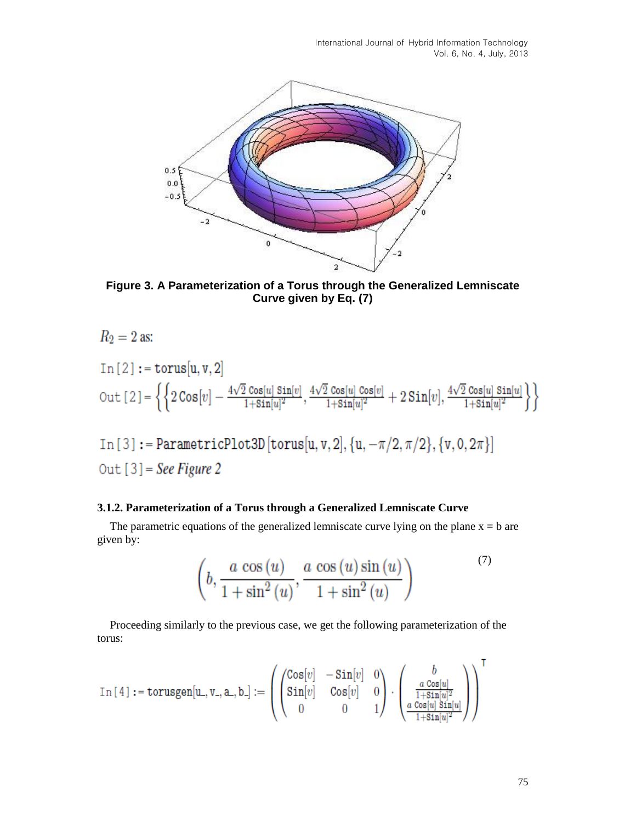

**Figure 3. A Parameterization of a Torus through the Generalized Lemniscate Curve given by Eq. (7)**

 $R_2 = 2$  as:  $In [2]:=torus[u, v, 2]$ Out  $[2] = \left\{ \left\{ 2\cos[v] - \frac{4\sqrt{2}\cos[u]\sin[v]}{1+\sin[u]^2}, \frac{4\sqrt{2}\cos[u]\cos[v]}{1+\sin[u]^2} + 2\sin[v], \frac{4\sqrt{2}\cos[u]\sin[u]}{1+\sin[u]^2} \right\} \right\}$ In [3] := ParametricPlot3D [torus[u, v, 2],  $\{u, -\pi/2, \pi/2\}$ ,  $\{v, 0, 2\pi\}$ ]

## Out  $[3]$  = See Figure 2

#### **3.1.2. Parameterization of a Torus through a Generalized Lemniscate Curve**

The parametric equations of the generalized lemniscate curve lying on the plane  $x = b$  are given by:

$$
\left(b, \frac{a\,\cos\left(u\right)}{1+\sin^2\left(u\right)}, \frac{a\,\cos\left(u\right)\sin\left(u\right)}{1+\sin^2\left(u\right)}\right) \tag{7}
$$

Proceeding similarly to the previous case, we get the following parameterization of the torus:

$$
\text{In [4]}: = \text{torusgen}[u_-, v_-, a_-, b_+] := \left( \begin{pmatrix} \text{Cos}[v] & -\text{Sin}[v] & 0 \\ \text{Sin}[v] & \text{Cos}[v] & 0 \\ 0 & 0 & 1 \end{pmatrix} \cdot \begin{pmatrix} b \\ \frac{a \text{ Cos}[u]}{1 + \text{Sin}[u]^2} \\ \frac{a \text{ Cos}[u]}{1 + \text{Sin}[u]^2} \end{pmatrix} \right)
$$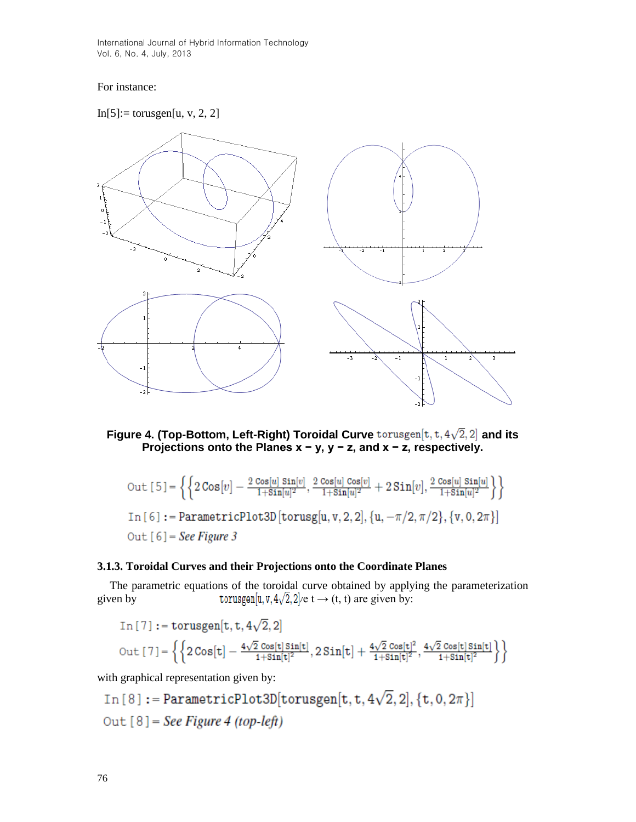#### For instance:







$$
\text{Out [5]} = \left\{ \left\{ 2\cos[v] - \frac{2\cos[u]\sin[v]}{1+\sin[u]^2}, \frac{2\cos[u]\cos[v]}{1+\sin[u]^2} + 2\sin[v], \frac{2\cos[u]\sin[u]}{1+\sin[u]^2} \right\} \right\}
$$
\n
$$
\text{In [6]} := \text{ParametericPlot3D} \left[ \text{torusg}[u, v, 2, 2], \{u, -\pi/2, \pi/2\}, \{v, 0, 2\pi\} \right]
$$
\n
$$
\text{Out [6]} = \text{See Figure 3}
$$

#### **3.1.3. Toroidal Curves and their Projections onto the Coordinate Planes**

The parametric equations of the toroidal curve obtained by applying the parameterization given by torus  $\text{sum} [u, v, 4\sqrt{2}, 2]$  /e t  $\rightarrow$  (t, t) are given by:

$$
\begin{aligned} &\text{In}\left[\,7\,\right]:=\text{torusgen}[t,t,4\sqrt{2},2] \\ &\text{Out}\left[\,7\,\right]=\left\{\left\{2\,\text{Cos}[t]-\frac{4\sqrt{2}\,\,\text{Cos}[t]\,\text{Sin}[t]}{1+\text{Sin}[t]^2},2\,\text{Sin}[t]+\frac{4\sqrt{2}\,\,\text{Cos}[t]^2}{1+\text{Sin}[t]^2},\frac{4\sqrt{2}\,\,\text{Cos}[t]\,\text{Sin}[t]}{1+\text{Sin}[t]^2}\right\}\right\} \end{aligned}
$$

with graphical representation given by:

In [8]: = ParametricPlot3D[torusgen[t, t, 
$$
4\sqrt{2}
$$
, 2], {t, 0,  $2\pi$ }]  
Out [8] = *See Figure 4 (top-left)*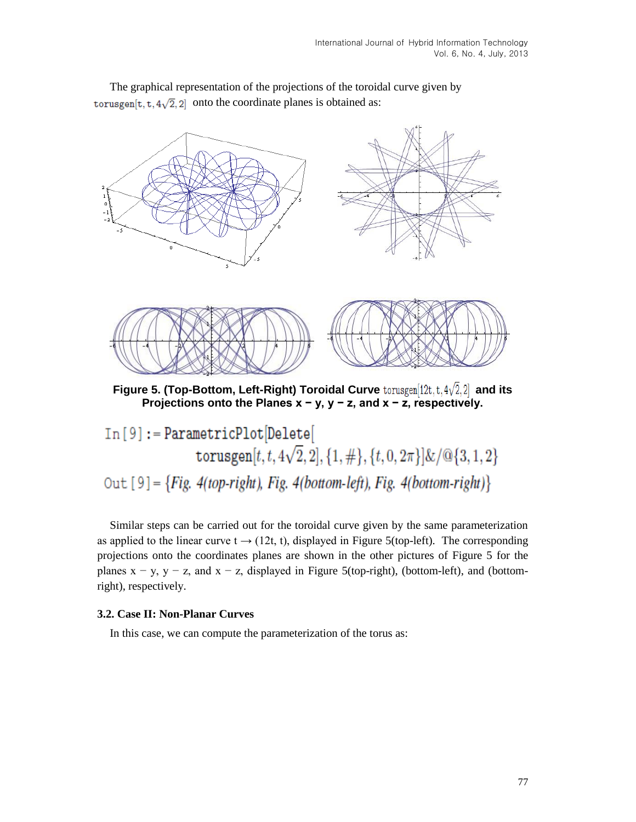

The graphical representation of the projections of the toroidal curve given by torus gen[t, t,  $4\sqrt{2}$ , 2] onto the coordinate planes is obtained as:

 $In [9]:=ParametricPlot[Delete[$ torusgen $[t, t, 4\sqrt{2}, 2], \{1, \# \}, \{t, 0, 2\pi\} \& \sqrt{\mathbb{Q}}\{3, 1, 2\}$ Out  $[9] = {Fig. 4(top-right), Fig. 4(bottom-left), Fig. 4(bottom-right)}$ 

Similar steps can be carried out for the toroidal curve given by the same parameterization as applied to the linear curve  $t \rightarrow (12t, t)$ , displayed in Figure 5(top-left). The corresponding projections onto the coordinates planes are shown in the other pictures of Figure 5 for the planes  $x - y$ ,  $y - z$ , and  $x - z$ , displayed in Figure 5(top-right), (bottom-left), and (bottomright), respectively.

#### **3.2. Case II: Non-Planar Curves**

In this case, we can compute the parameterization of the torus as: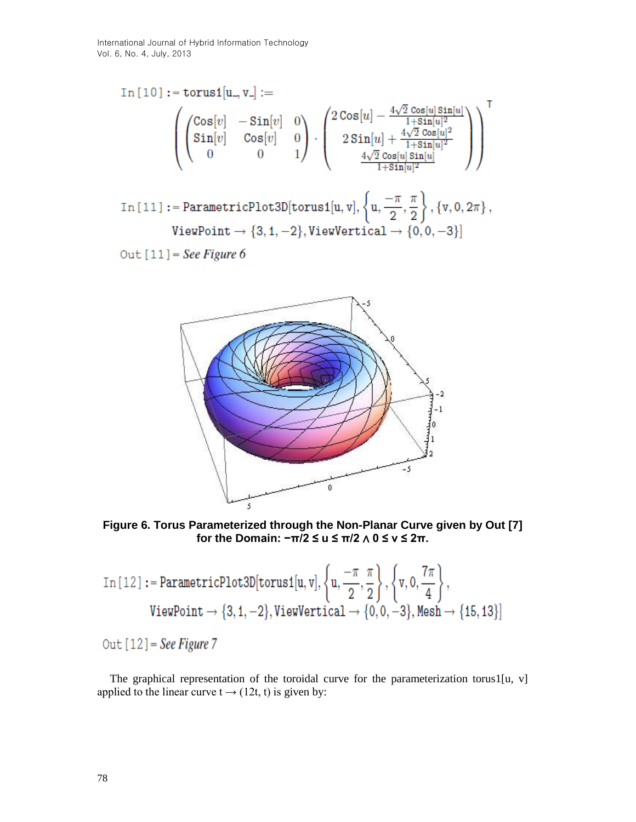$$
\begin{split} \text{In}\left[10\right]:&=\text{torus1}[u_-,v_-]:= \\ &\left(\begin{pmatrix} \text{Cos}[v] & -\text{Sin}[v] & 0 \\ \text{Sin}[v] & \text{Cos}[v] & 0 \\ 0 & 0 & 1 \end{pmatrix} \cdot \begin{pmatrix} 2\text{Cos}[u] - \frac{4\sqrt{2}\text{ Cos}[u]\text{Sin}[u]}{1+\text{Sin}[u]^2} \\ 2\text{Sin}[u] + \frac{4\sqrt{2}\text{ Cos}[u]^2}{1+\text{Sin}[u]^2} \\ \frac{4\sqrt{2}\text{ Cos}[u]\text{Sin}[u]}{1+\text{Sin}[u]^2} \end{pmatrix} \right)^{\mathsf{T}} \\ \text{In}\left[11\right]:&=\text{ParametricPlot3D}[\text{torus1}[u,v],\left\{u,\frac{-\pi}{2},\frac{\pi}{2}\right\},\left\{v,0,2\pi\right\}, \\ &\text{ViewPoint}\rightarrow\{3,1,-2\},\text{ViewVertical}\rightarrow\{0,0,-3\}\end{split}
$$

Out  $[11]$  = See Figure 6



**Figure 6. Torus Parameterized through the Non-Planar Curve given by Out [7] for the Domain: −π/2 ≤ u ≤ π/2** ∧ **0 ≤ v ≤ 2π.**

$$
\text{In [12]} := \text{ParametricPlot3D}[\text{torus1}[u, v], \left\{u, \frac{-\pi}{2}, \frac{\pi}{2}\right\}, \left\{v, 0, \frac{7\pi}{4}\right\},\
$$
\n
$$
\text{ViewPoint} \rightarrow \{3, 1, -2\}, \text{ViewVertical} \rightarrow \{0, 0, -3\}, \text{Mesh} \rightarrow \{15, 13\}\}
$$

Out  $[12]$  = See Figure 7

The graphical representation of the toroidal curve for the parameterization torus1[u, v] applied to the linear curve  $t \rightarrow (12t, t)$  is given by: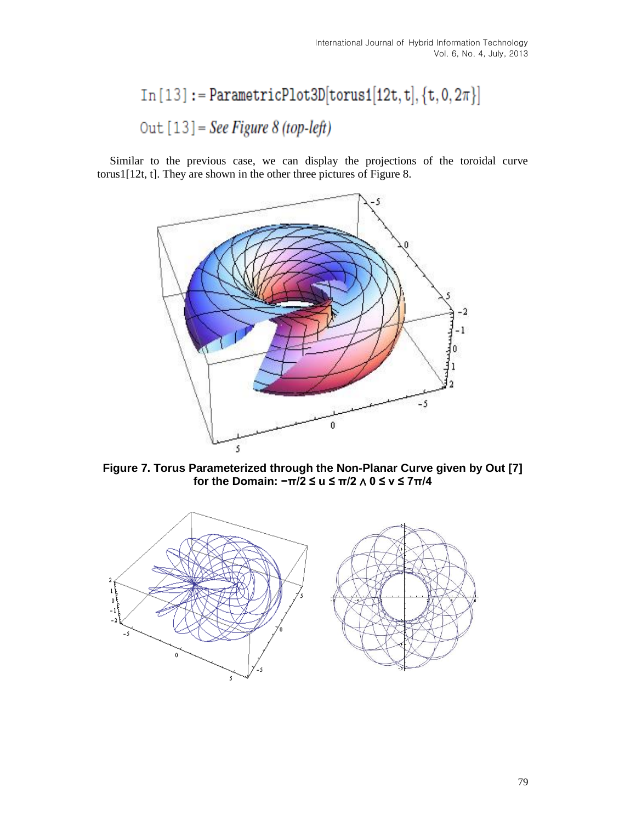# $In [13]:= ParametricPlot3D[torus1[12t, t], {t, 0, 2 $\pi$ }]$ Out  $[13]$  = See Figure 8 (top-left)

Similar to the previous case, we can display the projections of the toroidal curve torus1[12t, t]. They are shown in the other three pictures of Figure 8.



**Figure 7. Torus Parameterized through the Non-Planar Curve given by Out [7] for the Domain: −π/2 ≤ u ≤ π/2** ∧ **0 ≤ v ≤ 7π/4**

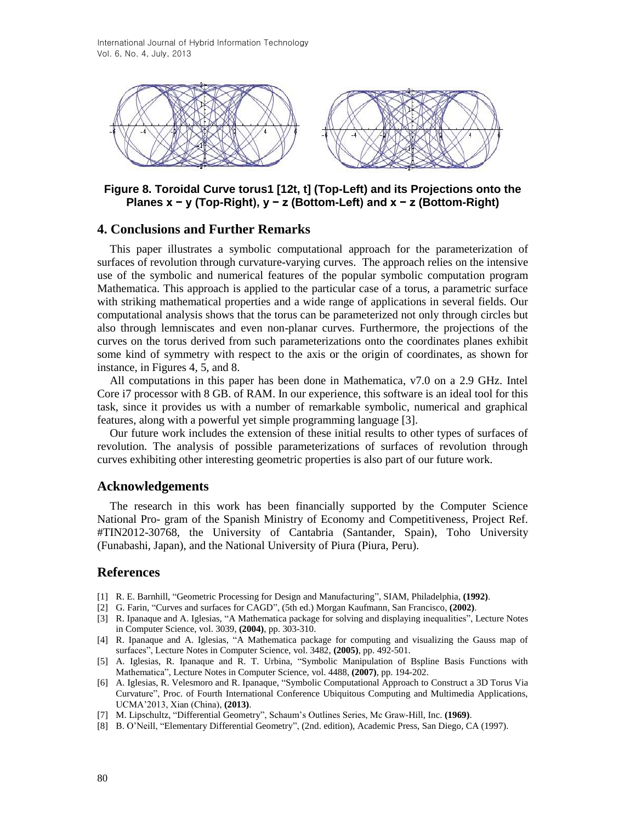

**Figure 8. Toroidal Curve torus1 [12t, t] (Top-Left) and its Projections onto the Planes x − y (Top-Right), y − z (Bottom-Left) and x − z (Bottom-Right)**

#### **4. Conclusions and Further Remarks**

This paper illustrates a symbolic computational approach for the parameterization of surfaces of revolution through curvature-varying curves. The approach relies on the intensive use of the symbolic and numerical features of the popular symbolic computation program Mathematica. This approach is applied to the particular case of a torus, a parametric surface with striking mathematical properties and a wide range of applications in several fields. Our computational analysis shows that the torus can be parameterized not only through circles but also through lemniscates and even non-planar curves. Furthermore, the projections of the curves on the torus derived from such parameterizations onto the coordinates planes exhibit some kind of symmetry with respect to the axis or the origin of coordinates, as shown for instance, in Figures 4, 5, and 8.

All computations in this paper has been done in Mathematica, v7.0 on a 2.9 GHz. Intel Core i7 processor with 8 GB. of RAM. In our experience, this software is an ideal tool for this task, since it provides us with a number of remarkable symbolic, numerical and graphical features, along with a powerful yet simple programming language [3].

Our future work includes the extension of these initial results to other types of surfaces of revolution. The analysis of possible parameterizations of surfaces of revolution through curves exhibiting other interesting geometric properties is also part of our future work.

#### **Acknowledgements**

The research in this work has been financially supported by the Computer Science National Pro- gram of the Spanish Ministry of Economy and Competitiveness, Project Ref. #TIN2012-30768, the University of Cantabria (Santander, Spain), Toho University (Funabashi, Japan), and the National University of Piura (Piura, Peru).

#### **References**

- [1] R. E. Barnhill, "Geometric Processing for Design and Manufacturing", SIAM, Philadelphia, **(1992)**.
- [2] G. Farin, "Curves and surfaces for CAGD", (5th ed.) Morgan Kaufmann, San Francisco, **(2002)**.
- [3] R. Ipanaque and A. Iglesias, "A Mathematica package for solving and displaying inequalities", Lecture Notes in Computer Science, vol. 3039, **(2004)**, pp. 303-310.
- [4] R. Ipanaque and A. Iglesias, "A Mathematica package for computing and visualizing the Gauss map of surfaces", Lecture Notes in Computer Science, vol. 3482, **(2005)**, pp. 492-501.
- [5] A. Iglesias, R. Ipanaque and R. T. Urbina, "Symbolic Manipulation of Bspline Basis Functions with Mathematica", Lecture Notes in Computer Science, vol. 4488, **(2007)**, pp. 194-202.
- [6] A. Iglesias, R. Velesmoro and R. Ipanaque, "Symbolic Computational Approach to Construct a 3D Torus Via Curvature", Proc. of Fourth International Conference Ubiquitous Computing and Multimedia Applications, UCMA'2013, Xian (China), **(2013)**.
- [7] M. Lipschultz, "Differential Geometry", Schaum's Outlines Series, Mc Graw-Hill, Inc. **(1969)**.
- [8] B. O'Neill, "Elementary Differential Geometry", (2nd. edition), Academic Press, San Diego, CA (1997).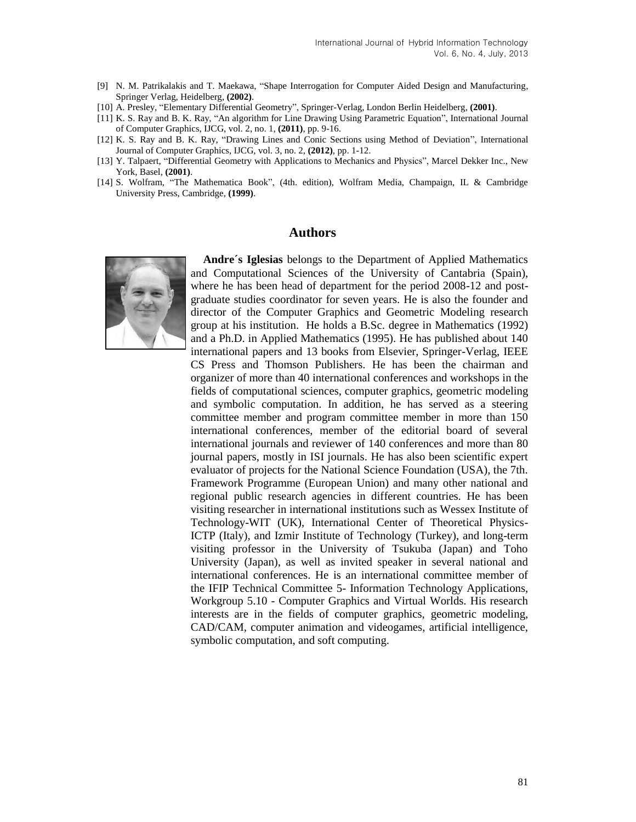- [9] N. M. Patrikalakis and T. Maekawa, "Shape Interrogation for Computer Aided Design and Manufacturing, Springer Verlag, Heidelberg, **(2002)**.
- [10] A. Presley, "Elementary Differential Geometry", Springer-Verlag, London Berlin Heidelberg, **(2001)**.
- [11] K. S. Ray and B. K. Ray, "An algorithm for Line Drawing Using Parametric Equation", International Journal of Computer Graphics, IJCG, vol. 2, no. 1, **(2011)**, pp. 9-16.
- [12] K. S. Ray and B. K. Ray, "Drawing Lines and Conic Sections using Method of Deviation", International Journal of Computer Graphics, IJCG, vol. 3, no. 2, **(2012)**, pp. 1-12.
- [13] Y. Talpaert, "Differential Geometry with Applications to Mechanics and Physics", Marcel Dekker Inc., New York, Basel, **(2001)**.
- [14] S. Wolfram, "The Mathematica Book", (4th. edition), Wolfram Media, Champaign, IL & Cambridge University Press, Cambridge, **(1999)**.

#### **Authors**



**Andre´s Iglesias** belongs to the Department of Applied Mathematics and Computational Sciences of the University of Cantabria (Spain), where he has been head of department for the period 2008-12 and postgraduate studies coordinator for seven years. He is also the founder and director of the Computer Graphics and Geometric Modeling research group at his institution. He holds a B.Sc. degree in Mathematics (1992) and a Ph.D. in Applied Mathematics (1995). He has published about 140 international papers and 13 books from Elsevier, Springer-Verlag, IEEE CS Press and Thomson Publishers. He has been the chairman and organizer of more than 40 international conferences and workshops in the fields of computational sciences, computer graphics, geometric modeling and symbolic computation. In addition, he has served as a steering committee member and program committee member in more than 150 international conferences, member of the editorial board of several international journals and reviewer of 140 conferences and more than 80 journal papers, mostly in ISI journals. He has also been scientific expert evaluator of projects for the National Science Foundation (USA), the 7th. Framework Programme (European Union) and many other national and regional public research agencies in different countries. He has been visiting researcher in international institutions such as Wessex Institute of Technology-WIT (UK), International Center of Theoretical Physics-ICTP (Italy), and Izmir Institute of Technology (Turkey), and long-term visiting professor in the University of Tsukuba (Japan) and Toho University (Japan), as well as invited speaker in several national and international conferences. He is an international committee member of the IFIP Technical Committee 5- Information Technology Applications, Workgroup 5.10 - Computer Graphics and Virtual Worlds. His research interests are in the fields of computer graphics, geometric modeling, CAD/CAM, computer animation and videogames, artificial intelligence, symbolic computation, and soft computing.